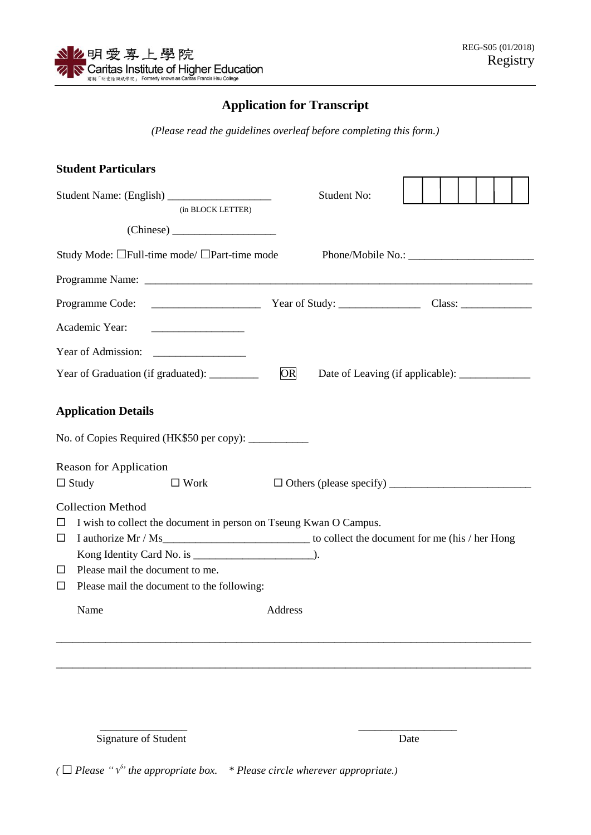## **Application for Transcript**

*(Please read the guidelines overleaf before completing this form.)*

|                       | <b>Student Particulars</b>                                                                                                                                                             |                                          |  |
|-----------------------|----------------------------------------------------------------------------------------------------------------------------------------------------------------------------------------|------------------------------------------|--|
|                       | (in BLOCK LETTER)                                                                                                                                                                      | <b>Student No:</b>                       |  |
|                       | (Chinese)                                                                                                                                                                              |                                          |  |
|                       | Study Mode: □Full-time mode/ □Part-time mode                                                                                                                                           |                                          |  |
|                       |                                                                                                                                                                                        |                                          |  |
|                       |                                                                                                                                                                                        |                                          |  |
|                       | Academic Year:                                                                                                                                                                         |                                          |  |
|                       |                                                                                                                                                                                        |                                          |  |
|                       | Year of Graduation (if graduated): _________                                                                                                                                           | OR                                       |  |
|                       | <b>Application Details</b>                                                                                                                                                             |                                          |  |
|                       |                                                                                                                                                                                        |                                          |  |
|                       | <b>Reason for Application</b>                                                                                                                                                          |                                          |  |
|                       | $\Box$ Study<br>$\square$ Work                                                                                                                                                         | □ Others (please specify) ______________ |  |
| $\Box$<br>□<br>□<br>□ | <b>Collection Method</b><br>I wish to collect the document in person on Tseung Kwan O Campus.<br>Please mail the document to me.<br>Please mail the document to the following:<br>Name | Address                                  |  |
|                       |                                                                                                                                                                                        |                                          |  |
|                       |                                                                                                                                                                                        |                                          |  |

Signature of Student Date

*(* $\Box$  *Please* " $\check{v}$ " *the appropriate box.* \* *Please circle wherever appropriate.*)

\_\_\_\_\_\_\_\_\_\_\_\_\_\_\_\_ \_\_\_\_\_\_\_\_\_\_\_\_\_\_\_\_\_\_